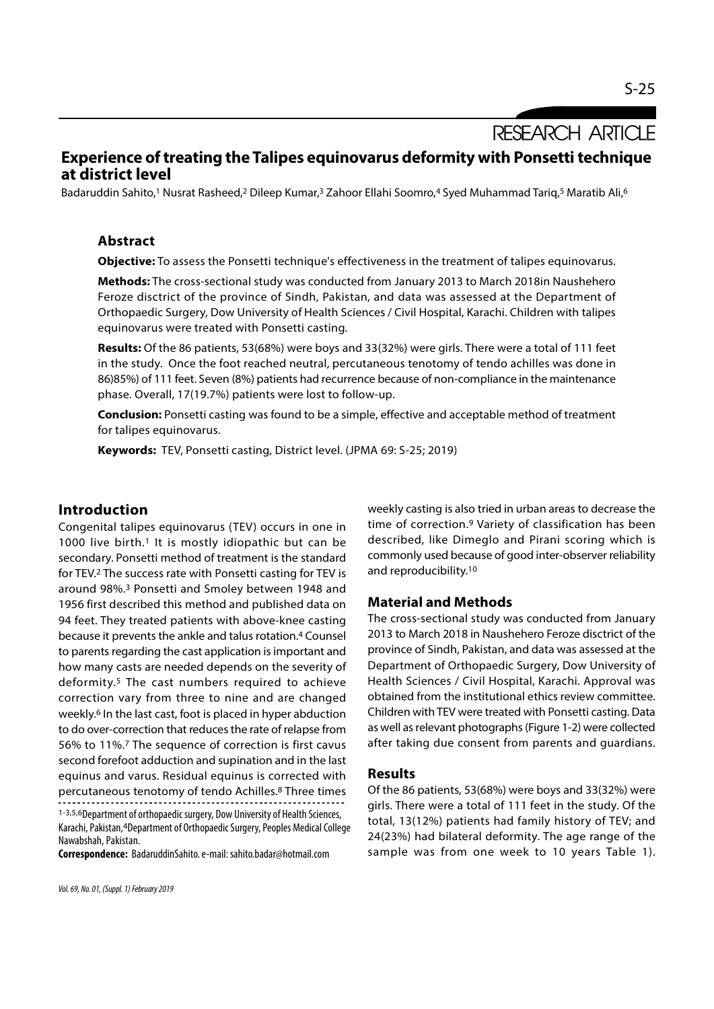**RESEARCH ARTICLE** 

# Experience of treating the Talipes equinovarus deformity with Ponsetti technique at district level

Badaruddin Sahito,<sup>1</sup> Nusrat Rasheed,<sup>2</sup> Dileep Kumar,<sup>3</sup> Zahoor Ellahi Soomro,<sup>4</sup> Syed Muhammad Tariq,<sup>5</sup> Maratib Ali,<sup>6</sup>

### Abstract

**Objective:** To assess the Ponsetti technique's effectiveness in the treatment of talipes equinovarus.

Methods: The cross-sectional study was conducted from January 2013 to March 2018in Naushehero Feroze disctrict of the province of Sindh, Pakistan, and data was assessed at the Department of Orthopaedic Surgery, Dow University of Health Sciences / Civil Hospital, Karachi. Children with talipes equinovarus were treated with Ponsetti casting.

Results: Of the 86 patients, 53(68%) were boys and 33(32%) were girls. There were a total of 111 feet in the study. Once the foot reached neutral, percutaneous tenotomy of tendo achilles was done in 86)85%) of 111 feet. Seven (8%) patients had recurrence because of non-compliance in the maintenance phase. Overall, 17(19.7%) patients were lost to follow-up.

Conclusion: Ponsetti casting was found to be a simple, effective and acceptable method of treatment for talipes equinovarus.

Keywords: TEV, Ponsetti casting, District level. (JPMA 69: S-25; 2019)

## Introduction

Congenital talipes equinovarus (TEV) occurs in one in 1000 live birth.<sup>1</sup> It is mostly idiopathic but can be secondary. Ponsetti method of treatment is the standard for TEV.2 The success rate with Ponsetti casting for TEV is around 98%.3 Ponsetti and Smoley between 1948 and 1956 first described this method and published data on 94 feet. They treated patients with above-knee casting because it prevents the ankle and talus rotation.4 Counsel to parents regarding the cast application is important and how many casts are needed depends on the severity of deformity.5 The cast numbers required to achieve correction vary from three to nine and are changed weekly.6 In the last cast, foot is placed in hyper abduction to do over-correction that reduces the rate of relapse from 56% to 11%.7 The sequence of correction is first cavus second forefoot adduction and supination and in the last equinus and varus. Residual equinus is corrected with percutaneous tenotomy of tendo Achilles.8 Three times 1-3,5,6Department of orthopaedic surgery, Dow University of Health Sciences, Karachi, Pakistan,4Department of Orthopaedic Surgery, Peoples Medical College Nawabshah, Pakistan.

Correspondence: BadaruddinSahito. e-mail: sahito.badar@hotmail.com

weekly casting is also tried in urban areas to decrease the time of correction.9 Variety of classification has been described, like Dimeglo and Pirani scoring which is commonly used because of good inter-observer reliability and reproducibility.10

#### Material and Methods

The cross-sectional study was conducted from January 2013 to March 2018 in Naushehero Feroze disctrict of the province of Sindh, Pakistan, and data was assessed at the Department of Orthopaedic Surgery, Dow University of Health Sciences / Civil Hospital, Karachi. Approval was obtained from the institutional ethics review committee. Children with TEV were treated with Ponsetti casting. Data as well as relevant photographs (Figure 1-2) were collected after taking due consent from parents and guardians.

#### Results

Of the 86 patients, 53(68%) were boys and 33(32%) were girls. There were a total of 111 feet in the study. Of the total, 13(12%) patients had family history of TEV; and 24(23%) had bilateral deformity. The age range of the sample was from one week to 10 years Table 1).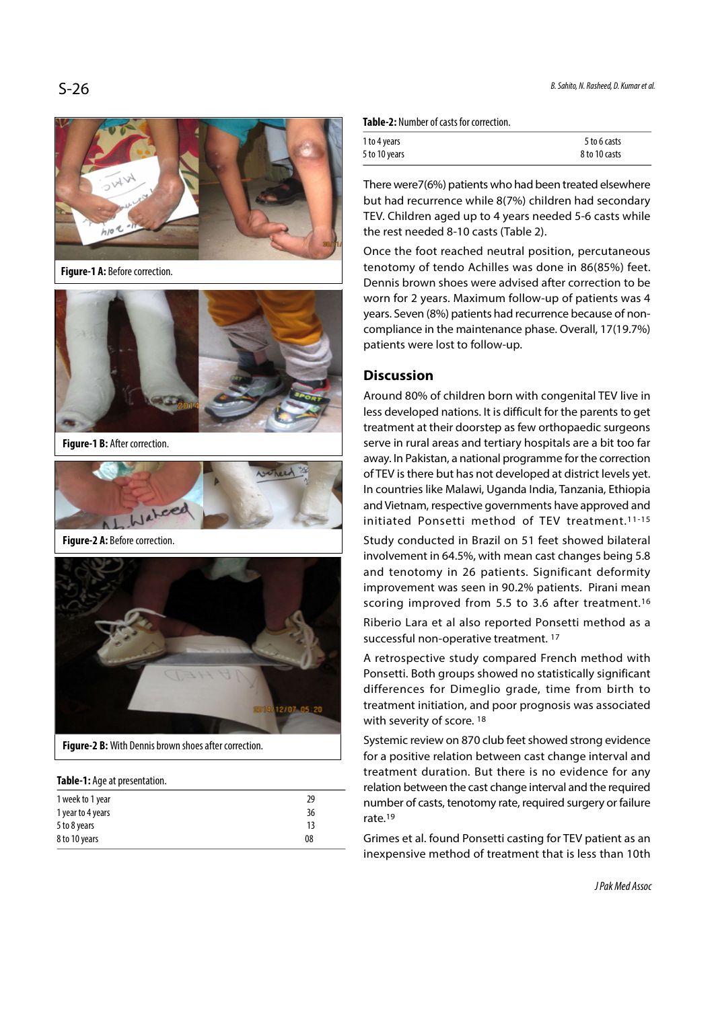$S-26$  B. Sahito, N. Rasheed, D. Kumar et al.



Figure-1 A: Before correction.



Figure-1 B: After correction.



Figure-2 A: Before correction.



Figure-2 B: With Dennis brown shoes after correction.

#### Table-1: Age at presentation.

| 1 week to 1 year  | 29 |
|-------------------|----|
| 1 year to 4 years | 36 |
| 5 to 8 years      | 13 |
| 8 to 10 years     | 08 |
|                   |    |

Table-2: Number of casts for correction.

| 1 to 4 years  | 5 to 6 casts  |
|---------------|---------------|
| 5 to 10 years | 8 to 10 casts |

There were7(6%) patients who had been treated elsewhere but had recurrence while 8(7%) children had secondary TEV. Children aged up to 4 years needed 5-6 casts while the rest needed 8-10 casts (Table 2).

Once the foot reached neutral position, percutaneous tenotomy of tendo Achilles was done in 86(85%) feet. Dennis brown shoes were advised after correction to be worn for 2 years. Maximum follow-up of patients was 4 years. Seven (8%) patients had recurrence because of noncompliance in the maintenance phase. Overall, 17(19.7%) patients were lost to follow-up.

# **Discussion**

Around 80% of children born with congenital TEV live in less developed nations. It is difficult for the parents to get treatment at their doorstep as few orthopaedic surgeons serve in rural areas and tertiary hospitals are a bit too far away. In Pakistan, a national programme for the correction of TEV is there but has not developed at district levels yet. In countries like Malawi, Uganda India, Tanzania, Ethiopia and Vietnam, respective governments have approved and initiated Ponsetti method of TEV treatment.11-15

Study conducted in Brazil on 51 feet showed bilateral involvement in 64.5%, with mean cast changes being 5.8 and tenotomy in 26 patients. Significant deformity improvement was seen in 90.2% patients. Pirani mean scoring improved from 5.5 to 3.6 after treatment.16

Riberio Lara et al also reported Ponsetti method as a successful non-operative treatment. 17

A retrospective study compared French method with Ponsetti. Both groups showed no statistically significant differences for Dimeglio grade, time from birth to treatment initiation, and poor prognosis was associated with severity of score.<sup>18</sup>

Systemic review on 870 club feet showed strong evidence for a positive relation between cast change interval and treatment duration. But there is no evidence for any relation between the cast change interval and the required number of casts, tenotomy rate, required surgery or failure rate.19

Grimes et al. found Ponsetti casting for TEV patient as an inexpensive method of treatment that is less than 10th

J Pak Med Assoc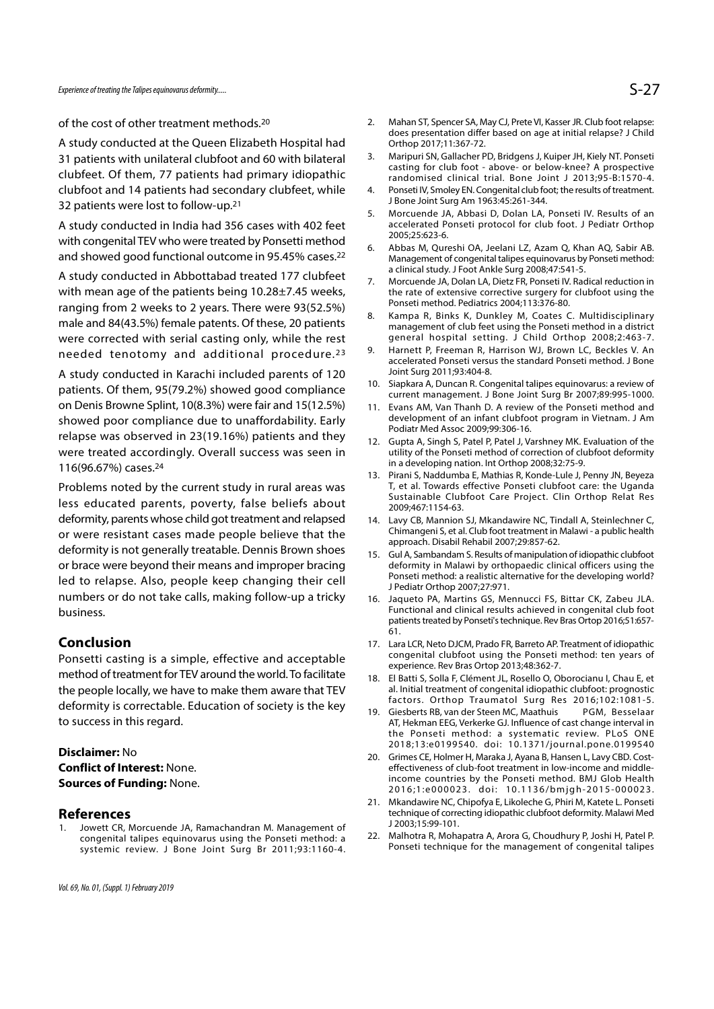of the cost of other treatment methods.20

A study conducted at the Queen Elizabeth Hospital had 31 patients with unilateral clubfoot and 60 with bilateral 3. Maripuri SN, Gallacher PD, Bridgens J, Kuiper JH, Kiely NT. Ponseti clubfeet. Of them, 77 patients had primary idiopathic clubfoot and 14 patients had secondary clubfeet, while 4. Ponseti IV, Smoley EN. Congenital club foot; the results of treatment. 32 patients were lost to follow-up.21

A study conducted in India had 356 cases with 402 feet with congenital TEV who were treated by Ponsetti method<br>6. Abbas M, Qureshi OA, Jeelani LZ, Azam Q, Khan AQ, Sabir AB. and showed good functional outcome in 95.45% cases.22

A study conducted in Abbottabad treated 177 clubfeet<br>7. Morcuende JA, Dolan LA, Dietz FR, Ponseti IV. Radical reduction in with mean age of the patients being 10.28±7.45 weeks, ranging from 2 weeks to 2 years. There were 93(52.5%) Ponseti method. Pediatrics 2004;113:376-80.<br>8. Kampa R, Binks K, Dunkley M, Coates C. Multidisciplinary male and 84(43.5%) female patents. Of these, 20 patients were corrected with serial casting only, while the rest general hospital setting. J Child Orthop 2008;2:463-7.<br>The research of additional procedure 23 9. Harnett P, Freeman R, Harrison WJ, Brown LC, Beckles V. An A study conducted in India had 356 cases with 402 feet<br>
with congenital TEV who were treated by Ponsetti method<br>
and showed good functional outcome in 95.45% cases.<sup>22</sup><br>
A study conducted in Abbottabad treated 177 clubfeet

A study conducted in Karachi included parents of 120<br>antitional R. Congenital talipes equinovarus: a review of patients. Of them, 95(79.2%) showed good compliance on Denis Browne Splint, 10(8.3%) were fair and 15(12.5%) 11. Evans AM, Van Thanh D. A review of the Ponseti method and showed poor compliance due to unaffordability. Early relapse was observed in 23(19.16%) patients and they 12. Gupta A, Singh S, Patel P, Patel J, Varshney MK. Evaluation of the were treated accordingly. Overall success was seen in 116(96.67%) cases.24

Problems noted by the current study in rural areas was less educated parents, poverty, false beliefs about deformity, parents whose child got treatment and relapsed 14. Lavy CB, Mannion SJ, Mkandawire NC, Tindall A, Steinlechner C, or were resistant cases made people believe that the deformity is not generally treatable. Dennis Brown shoes 15. Gul A, Sambandam S. Results of manipulation of idiopathic clubfoot or brace were beyond their means and improper bracing led to relapse. Also, people keep changing their cell numbers or do not take calls, making follow-up a tricky 16. Jaqueto PA, Martins GS, Mennucci FS, Bittar CK, Zabeu JLA. business.

#### Conclusion

Ponsetti casting is a simple, effective and acceptable method of treatment for TEV around the world. To facilitate 18. El Batti S, Solla F, Clément JL, Rosello O, Oborocianu I, Chau E, et the people locally, we have to make them aware that TEV deformity is correctable. Education of society is the key<br>19. Giesberts RB, van der Steen MC, Maathuis to success in this regard. EXTREET CR, Morcuende JA, Ramachandran M. Management of<br>
1. Jowett CR, Morcuende JA, Ramachandran M. Management of<br>
1. Jowett CR, Morcuende JA, Ramachandran M. Management of<br>
1. Jowett CR, Morcuende JA, Ramachandran M. Man

## Disclaimer: No Conflict of Interest: None. Sources of Funding: None.

**References**<br>1. Jowett CR, Morcuende JA, Ramachandran M. Management of congenital talipes equinovarus using the Ponseti method: a 22. Malhotra R, Mohapatra A, Arora G, Choudhury P, Joshi H, Patel P. systemic review. J Bone Joint Surg Br 2011;93:1160-4.

- S-27<br>
2. Mahan ST, Spencer SA, May CJ, Prete VI, Kasser JR. Club foot relapse:<br>
does presentation differ based on age at initial relapse? J Child<br>
Orthop 2017;11:367-72.<br>
3. Maripuri SN, Gallacher PD, Bridgens J, Kuiper JH does presentation differ based on age at initial relapse? J Child Orthop 2017;11:367-72. 5-27<br>3. Mahan ST, Spencer SA, May CJ, Prete VI, Kasser JR. Club foot relapse:<br>3. does presentation differ based on age at initial relapse? J Child<br>3. Maripuri SN, Gallacher PD, Bridgens J, Kuiper JH, Kiely NT. Ponseti<br>5. c 5-27<br>
2. Mahan ST, Spencer SA, May CJ, Prete VI, Kasser JR. Club foot relapse:<br>
does presentation differ based on age at initial relapse? J Child<br>
Orthop 2017;11:367-72.<br>
3. Maripuri SN, Gallacher PD, Bridgens J, Kuiper JH 5. Mahan ST, Spencer SA, May CJ, Prete VI, Kasser JR. Club foot relapse:<br>
does presentation differ based on age at initial relapse? J Child<br>
Orthop 2017;11:367-72.<br>
3. Maripur SN, Gallacher PD, Bridgens J, Kuiper JH, Kiely
- casting for club foot above- or below-knee? A prospective randomised clinical trial. Bone Joint J 2013;95-B:1570-4.
- J Bone Joint Surg Am 1963:45:261-344.
- accelerated Ponseti protocol for club foot. J Pediatr Orthop 2005;25:623-6.
- 2. Mahan ST, Spencer SA, May CJ, Prete VI, Kasser JR. Club foot relapse:<br>does presentation differ based on age at initial relapse? J Child<br>Orthop 2017;11:367-72.<br>3. Maripuri SN, Gallacher PD, Bridgens J, Kuiper JH, Kiely N Management of congenital talipes equinovarus by Ponseti method: a clinical study. J Foot Ankle Surg 2008;47:541-5. Orthop 2017;11:367-72.<br>
3. Maripuri SN, Gallacher PD, Bridgens J, Kuiper JH, Kiely NT. Ponseti<br>
casting for club foot - above- or below-knee? A prospective<br>
candomised clinical trial. Bone Joint J 2013;95-B:1570-4.<br>
4. Pon randomised clinical trial. Bone Joint J 2013;95-B:1570-4.<br>
4. Ponseti IV, Smoley EN. Congenital club foot; the results of treatment.<br>
18. Bone Joint Surg Am 1963:45:261-344.<br>
5. Morcuende JA, Abbasi D, Dolan LA, Ponseti IV 5. Morcuende JA, Abbasi D, Dolan LA, Ponseti IV. Results of an accelerated Ponseti protocol for club foot. J Pediatr Orthop<br>2005;25:623-6. Abbas M, Qureshi OA, Jeelani LZ, Azam Q, Khan AQ, Sabir AB.<br>Management of congenita
- the rate of extensive corrective surgery for clubfoot using the Ponseti method. Pediatrics 2004;113:376-80.
- management of club feet using the Ponseti method in a district general hospital setting. J Child Orthop 2008;2:463-7. 6. Abbas M, Qureshi OA, Jeelani LZ, Azam Q, Khan AQ, Sabir AB.<br>
Management of congenital talipes equinovarus by Ponseti method:<br>
a clinical study. J Foot Ankle Surg 2008;47:541-5.<br>
7. Morcuende JA, Dolan LA, Dietz FR, Pons a clinical study, J Foot Ankle Surg 2008;47:541-5.<br>
7. Morcurede JA, Dolan LA, Dietz FR, Ponseti IV. Radical reduction in<br>
the rate of extensive corrective surgery for clubfoot using the<br>
Ponseti method. Pediatrics 2004;11 Ponseti method. Pediatrics 2004;113:376-80.<br>
8. Kampa R, Binks K, Dunkley M, Coates C. Multidisciplinary<br>
management of club feet using the Ponseti method in a district<br>
general hospital setting. J Child Orthop 2008;2:463-
- accelerated Ponseti versus the standard Ponseti method. J Bone Joint Surg 2011;93:404-8.
- current management. J Bone Joint Surg Br 2007;89:995-1000.
- development of an infant clubfoot program in Vietnam. J Am Podiatr Med Assoc 2009;99:306-16.
- utility of the Ponseti method of correction of clubfoot deformity in a developing nation. Int Orthop 2008;32:75-9.
- 9 meral hospital setting. J Child Orthop 2008;2:463-7.<br>
9. Harnett P, Freeman R, Harrison WJ, Brown LC, Beckles V. An<br>
accelerated Ponseti versus the standard Ponseti method. J Bone<br>
Joint Surg 2011;93:404-8.<br>
10. Siapkara T, et al. Towards effective Ponseti clubfoot care: the Uganda Sustainable Clubfoot Care Project. Clin Orthop Relat Res 2009;467:1154-63. 10. Siapkara A, Duncan R. Congenital talipes equinovarus: a review of<br>current management. J Bone Joint Surg Br 2007;89:995-1000.<br>11. Evans AM, Van Thanh D. A review of the Ponseti method and<br>development of an infant clubfo
- Chimangeni S, et al. Club foot treatment in Malawi a public health approach. Disabil Rehabil 2007;29:857-62.
- development of an infant clubfoot program in Vietnam. J Am<br>
Podiatr Med Assoc 2009;99:306-16.<br>
12. Gupta A, Singh S, Patel P, Patel J, Varshney MK. Evaluation of the<br>
utility of the Ponseti method of correction of clubfoot deformity in Malawi by orthopaedic clinical officers using the Ponseti method: a realistic alternative for the developing world? J Pediatr Orthop 2007;27:971. in a developing nation. Int Orthop 2008;32:75-9.<br>
13. Pirani S, Naddumba E, Mathias R, Konde-Lule J, Penny JN, Beyeza<br>
17. et al. Towards effective Ponseti clubfoot care: the Uganda<br>
Sustainable Clubfoot Care Project. Clin 2009;467:1154-63.<br>
14. Lavy CB, Mannion SJ, Mkandawire NC, Tindall A, Steinlechner C,<br>
chimageni S, et al. Club foot treatment in Malawi - a public health<br>
approach. Disabil Rehabil 2007;29:857-62.<br>
15. Gul A, Sambandam S. approach, Disabil Rehabil 2007;29:857-62.<br>
15. Gul A, Sambandam S. Results of manipulation of idiopathic clubfoot<br>
deformity in Malawi by orthopaedic clinical officers using the<br>
Ponseti method: a realistic alternative for
- Functional and clinical results achieved in congenital club foot patients treated by Ponseti's technique. Rev Bras Ortop 2016;51:657- 61.
- congenital clubfoot using the Ponseti method: ten years of experience. Rev Bras Ortop 2013;48:362-7.
- al. Initial treatment of congenital idiopathic clubfoot: prognostic factors. Orthop Traumatol Surg Res 2016;102:1081-5.
- Ponseti method: a realistic alternative for the developing world?<br>
J Pediatr Orthop 2007;27:971.<br>
16. Jaqueto PA, Martins GS, Mennucci FS, Bittar CK, Zabeu JLA.<br>
Functional and clinical results achieved in congenital club AT, Hekman EEG, Verkerke GJ. Influence of cast change interval in the Ponseti method: a systematic review. PLoS ONE 2018;13:e0199540. doi: 10.1371/journal.pone.0199540 patients treated by Ponseti's technique. Rev Bras Ortop 2016;51:657-61.<br>
17. Lara LCR, Neto DJCM, Prado FR, Barreto AP. Treatment of idiopathic<br>
congenital clubfoot using the Ponseti method: ten years of<br>
experience. Rev B congenital clubfoot using the Ponseti method: ten years of<br>experience. Rev Bras Ortop 2013;48:362-7.<br>El Batti S, Solla F, Clément JL, Rosello O, Oborocianu l, Chau E, et<br>al. Initial treatment of congenital idiopathic clubf experience. Rev Bras Ortop 2013;48:362-7.<br>
18. El Batti S, Solla F, Clément JL, Rosello O, Oborocianu I, Chau E, et<br>
al. Initial treatment of congenital idiopathic clubfoot: prognostic<br>
factors. Orthop Traumatol Surg Res 2 factors. Orthop Traumatol Surg Res 2016;102:1081-5.<br>
19. Giesberts RB, van der Steen MC, Maathuis PGM, Besselaar<br>
AT, Hekman EEG, Verkerke GJ. Influence of cast change interval in<br>
the Ponseti method: a systematic review.
- effectiveness of club-foot treatment in low-income and middleincome countries by the Ponseti method. BMJ Glob Health 2016;1:e000023. doi: 10.1136/bmjgh-2015-000023.
- technique of correcting idiopathic clubfoot deformity. Malawi Med J 2003;15:99-101.
- Ponseti technique for the management of congenital talipes